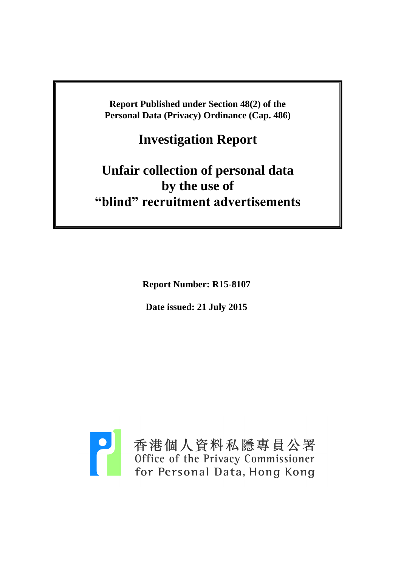**Report Published under Section 48(2) of the Personal Data (Privacy) Ordinance (Cap. 486)**

**Investigation Report**

# **Unfair collection of personal data by the use of "blind" recruitment advertisements**

**Report Number: R15-8107**

**Date issued: 21 July 2015**

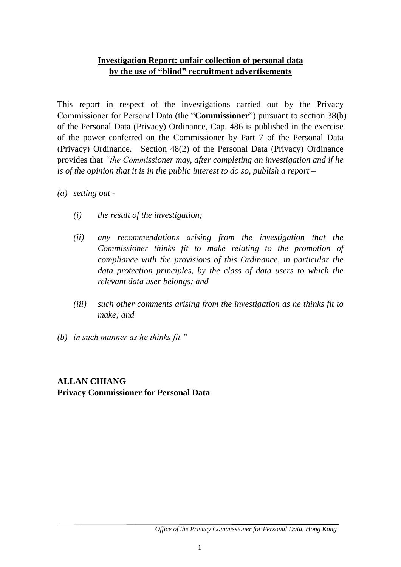## **Investigation Report: unfair collection of personal data by the use of "blind" recruitment advertisements**

This report in respect of the investigations carried out by the Privacy Commissioner for Personal Data (the "**Commissioner**") pursuant to section 38(b) of the Personal Data (Privacy) Ordinance, Cap. 486 is published in the exercise of the power conferred on the Commissioner by Part 7 of the Personal Data (Privacy) Ordinance. Section 48(2) of the Personal Data (Privacy) Ordinance provides that *"the Commissioner may, after completing an investigation and if he is of the opinion that it is in the public interest to do so, publish a report –*

- *(a) setting out -*
	- *(i) the result of the investigation;*
	- *(ii) any recommendations arising from the investigation that the Commissioner thinks fit to make relating to the promotion of compliance with the provisions of this Ordinance, in particular the data protection principles, by the class of data users to which the relevant data user belongs; and*
	- *(iii) such other comments arising from the investigation as he thinks fit to make; and*
- *(b) in such manner as he thinks fit."*

## **ALLAN CHIANG Privacy Commissioner for Personal Data**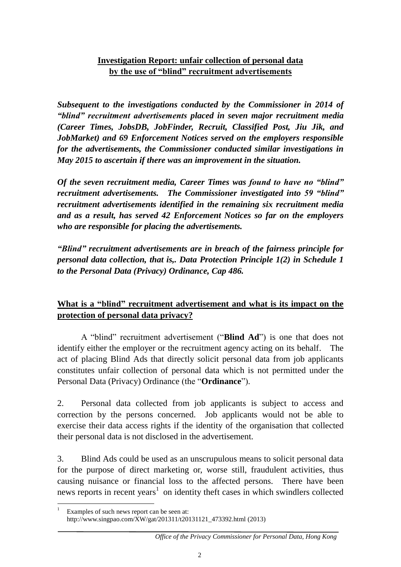# **Investigation Report: unfair collection of personal data by the use of "blind" recruitment advertisements**

*Subsequent to the investigations conducted by the Commissioner in 2014 of "blind" recruitment advertisements placed in seven major recruitment media (Career Times, JobsDB, JobFinder, Recruit, Classified Post, Jiu Jik, and JobMarket) and 69 Enforcement Notices served on the employers responsible for the advertisements, the Commissioner conducted similar investigations in May 2015 to ascertain if there was an improvement in the situation.* 

*Of the seven recruitment media, Career Times was found to have no "blind" recruitment advertisements. The Commissioner investigated into 59 "blind" recruitment advertisements identified in the remaining six recruitment media and as a result, has served 42 Enforcement Notices so far on the employers who are responsible for placing the advertisements.*

*"Blind" recruitment advertisements are in breach of the fairness principle for personal data collection, that is,. Data Protection Principle 1(2) in Schedule 1 to the Personal Data (Privacy) Ordinance, Cap 486.*

# **What is a "blind" recruitment advertisement and what is its impact on the protection of personal data privacy?**

A "blind" recruitment advertisement ("**Blind Ad**") is one that does not identify either the employer or the recruitment agency acting on its behalf. The act of placing Blind Ads that directly solicit personal data from job applicants constitutes unfair collection of personal data which is not permitted under the Personal Data (Privacy) Ordinance (the "**Ordinance**").

2. Personal data collected from job applicants is subject to access and correction by the persons concerned. Job applicants would not be able to exercise their data access rights if the identity of the organisation that collected their personal data is not disclosed in the advertisement.

3. Blind Ads could be used as an unscrupulous means to solicit personal data for the purpose of direct marketing or, worse still, fraudulent activities, thus causing nuisance or financial loss to the affected persons. There have been news reports in recent years<sup>1</sup> on identity theft cases in which swindlers collected

<sup>&</sup>lt;u>.</u> Examples of such news report can be seen at: http://www.singpao.com/XW/gat/201311/t20131121\_473392.html (2013)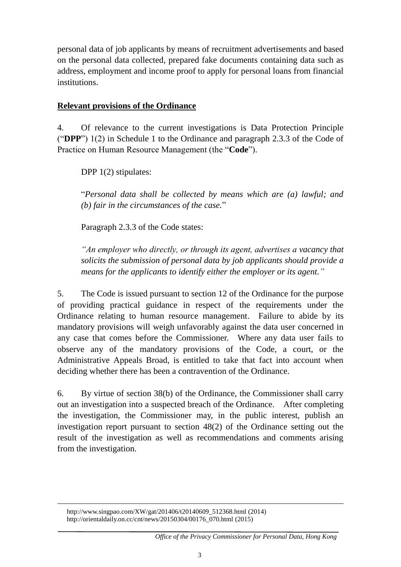personal data of job applicants by means of recruitment advertisements and based on the personal data collected, prepared fake documents containing data such as address, employment and income proof to apply for personal loans from financial institutions.

### **Relevant provisions of the Ordinance**

4. Of relevance to the current investigations is Data Protection Principle ("**DPP**") 1(2) in Schedule 1 to the Ordinance and paragraph 2.3.3 of the Code of Practice on Human Resource Management (the "**Code**").

DPP 1(2) stipulates:

"*Personal data shall be collected by means which are (a) lawful; and (b) fair in the circumstances of the case.*"

Paragraph 2.3.3 of the Code states:

*"An employer who directly, or through its agent, advertises a vacancy that solicits the submission of personal data by job applicants should provide a means for the applicants to identify either the employer or its agent."*

5. The Code is issued pursuant to section 12 of the Ordinance for the purpose of providing practical guidance in respect of the requirements under the Ordinance relating to human resource management. Failure to abide by its mandatory provisions will weigh unfavorably against the data user concerned in any case that comes before the Commissioner. Where any data user fails to observe any of the mandatory provisions of the Code, a court, or the Administrative Appeals Broad, is entitled to take that fact into account when deciding whether there has been a contravention of the Ordinance.

6. By virtue of section 38(b) of the Ordinance, the Commissioner shall carry out an investigation into a suspected breach of the Ordinance. After completing the investigation, the Commissioner may, in the public interest, publish an investigation report pursuant to section 48(2) of the Ordinance setting out the result of the investigation as well as recommendations and comments arising from the investigation.

http://www.singpao.com/XW/gat/201406/t20140609\_512368.html (2014) http://orientaldaily.on.cc/cnt/news/20150304/00176\_070.html (2015)

<u>.</u>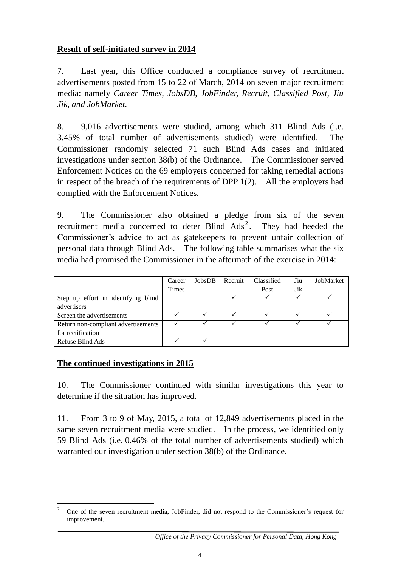## **Result of self-initiated survey in 2014**

7. Last year, this Office conducted a compliance survey of recruitment advertisements posted from 15 to 22 of March, 2014 on seven major recruitment media: namely *Career Times, JobsDB, JobFinder, Recruit, Classified Post, Jiu Jik, and JobMarket.*

8. 9,016 advertisements were studied, among which 311 Blind Ads (i.e. 3.45% of total number of advertisements studied) were identified. The Commissioner randomly selected 71 such Blind Ads cases and initiated investigations under section 38(b) of the Ordinance. The Commissioner served Enforcement Notices on the 69 employers concerned for taking remedial actions in respect of the breach of the requirements of DPP 1(2). All the employers had complied with the Enforcement Notices.

9. The Commissioner also obtained a pledge from six of the seven recruitment media concerned to deter Blind  $\text{Ads}^2$ . They had heeded the Commissioner's advice to act as gatekeepers to prevent unfair collection of personal data through Blind Ads. The following table summarises what the six media had promised the Commissioner in the aftermath of the exercise in 2014:

|                                     | Career       | JobsDB | Recruit | Classified | Jiu | JobMarket |
|-------------------------------------|--------------|--------|---------|------------|-----|-----------|
|                                     | <b>Times</b> |        |         | Post       | Jik |           |
| Step up effort in identifying blind |              |        |         |            |     |           |
| advertisers                         |              |        |         |            |     |           |
| Screen the advertisements           |              |        |         |            |     |           |
| Return non-compliant advertisements |              |        |         |            |     |           |
| for rectification                   |              |        |         |            |     |           |
| Refuse Blind Ads                    |              |        |         |            |     |           |

#### **The continued investigations in 2015**

10. The Commissioner continued with similar investigations this year to determine if the situation has improved.

11. From 3 to 9 of May, 2015, a total of 12,849 advertisements placed in the same seven recruitment media were studied. In the process, we identified only 59 Blind Ads (i.e. 0.46% of the total number of advertisements studied) which warranted our investigation under section 38(b) of the Ordinance.

 $\overline{\mathcal{L}}$ <sup>2</sup> One of the seven recruitment media, JobFinder, did not respond to the Commissioner's request for improvement.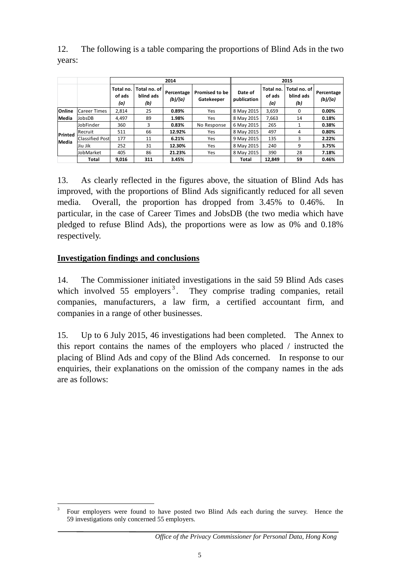|         |                        | 2014                       |                                  |                       |                                     | 2015                   |                            |                                    |                       |
|---------|------------------------|----------------------------|----------------------------------|-----------------------|-------------------------------------|------------------------|----------------------------|------------------------------------|-----------------------|
|         |                        | Total no.<br>of ads<br>(a) | Total no. of<br>blind ads<br>(b) | Percentage<br>(b)/(a) | <b>Promised to be</b><br>Gatekeeper | Date of<br>publication | Total no.<br>of ads<br>(a) | Total no. of I<br>blind ads<br>(b) | Percentage<br>(b)/(a) |
| Online  | <b>Career Times</b>    | 2.814                      | 25                               | 0.89%                 | Yes                                 | 8 May 2015             | 3,659                      | 0                                  | 0.00%                 |
| Media   | JobsDB                 | 4,497                      | 89                               | 1.98%                 | Yes                                 | 8 May 2015             | 7,663                      | 14                                 | 0.18%                 |
| Printed | JobFinder              | 360                        | 3                                | 0.83%                 | No Response                         | 6 May 2015             | 265                        |                                    | 0.38%                 |
|         | Recruit                | 511                        | 66                               | 12.92%                | Yes                                 | 8 May 2015             | 497                        | 4                                  | 0.80%                 |
| Media   | <b>Classified Post</b> | 177                        | 11                               | 6.21%                 | Yes                                 | 9 May 2015             | 135                        | 3                                  | 2.22%                 |
|         | Jiu Jik                | 252                        | 31                               | 12.30%                | Yes                                 | 8 May 2015             | 240                        | 9                                  | 3.75%                 |
|         | JobMarket              | 405                        | 86                               | 21.23%                | Yes                                 | 8 May 2015             | 390                        | 28                                 | 7.18%                 |
|         | Total                  | 9,016                      | 311                              | 3.45%                 |                                     | Total                  | 12,849                     | 59                                 | 0.46%                 |

12. The following is a table comparing the proportions of Blind Ads in the two years:

13. As clearly reflected in the figures above, the situation of Blind Ads has improved, with the proportions of Blind Ads significantly reduced for all seven media. Overall, the proportion has dropped from 3.45% to 0.46%. In particular, in the case of Career Times and JobsDB (the two media which have pledged to refuse Blind Ads), the proportions were as low as 0% and 0.18% respectively.

## **Investigation findings and conclusions**

14. The Commissioner initiated investigations in the said 59 Blind Ads cases which involved  $55$  employers<sup>3</sup>. They comprise trading companies, retail companies, manufacturers, a law firm, a certified accountant firm, and companies in a range of other businesses.

15. Up to 6 July 2015, 46 investigations had been completed. The Annex to this report contains the names of the employers who placed / instructed the placing of Blind Ads and copy of the Blind Ads concerned. In response to our enquiries, their explanations on the omission of the company names in the ads are as follows:

<sup>&</sup>lt;u>.</u> 3 Four employers were found to have posted two Blind Ads each during the survey. Hence the 59 investigations only concerned 55 employers.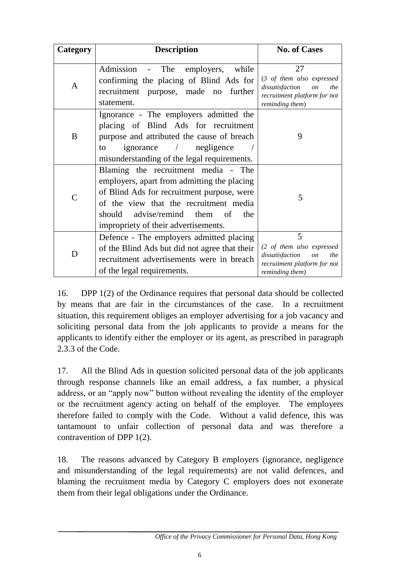| Category      | <b>Description</b>                                                                                                                                                                                                                                        | <b>No. of Cases</b>                                                                                                       |  |
|---------------|-----------------------------------------------------------------------------------------------------------------------------------------------------------------------------------------------------------------------------------------------------------|---------------------------------------------------------------------------------------------------------------------------|--|
| A             | Admission - The<br>employers,<br>while<br>confirming the placing of Blind Ads for<br>recruitment purpose, made no<br>further<br>statement.                                                                                                                | 27<br>(3 of them also expressed<br>dissatisfaction<br><i>on</i><br>the<br>recruitment platform for not<br>reminding them) |  |
| B             | Ignorance - The employers admitted the<br>placing of Blind Ads for recruitment<br>purpose and attributed the cause of breach<br>ignorance / negligence<br>to<br>misunderstanding of the legal requirements.                                               | 9                                                                                                                         |  |
| $\mathcal{C}$ | Blaming the recruitment media - The<br>employers, apart from admitting the placing<br>of Blind Ads for recruitment purpose, were<br>of the view that the recruitment media<br>should advise/remind them of<br>the<br>impropriety of their advertisements. | 5                                                                                                                         |  |
| D             | Defence - The employers admitted placing<br>of the Blind Ads but did not agree that their<br>recruitment advertisements were in breach<br>of the legal requirements.                                                                                      | 5<br>(2 of them also expressed<br>dissatisfaction<br><i>on</i><br>the<br>recruitment platform for not<br>reminding them)  |  |

16. DPP 1(2) of the Ordinance requires that personal data should be collected by means that are fair in the circumstances of the case. In a recruitment situation, this requirement obliges an employer advertising for a job vacancy and soliciting personal data from the job applicants to provide a means for the applicants to identify either the employer or its agent, as prescribed in paragraph 2.3.3 of the Code.

17. All the Blind Ads in question solicited personal data of the job applicants through response channels like an email address, a fax number, a physical address, or an "apply now" button without revealing the identity of the employer or the recruitment agency acting on behalf of the employer. The employers therefore failed to comply with the Code. Without a valid defence, this was tantamount to unfair collection of personal data and was therefore a contravention of DPP 1(2).

18. The reasons advanced by Category B employers (ignorance, negligence and misunderstanding of the legal requirements) are not valid defences, and blaming the recruitment media by Category C employers does not exonerate them from their legal obligations under the Ordinance.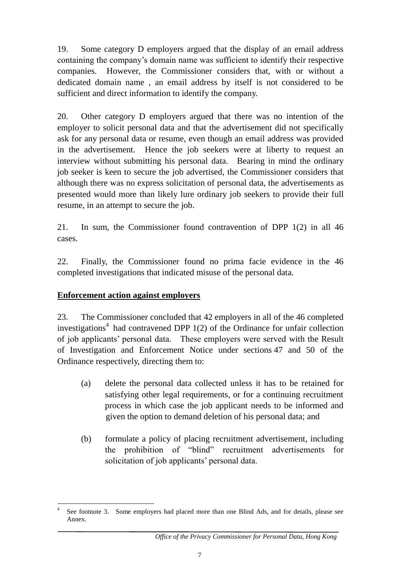19. Some category D employers argued that the display of an email address containing the company's domain name was sufficient to identify their respective companies. However, the Commissioner considers that, with or without a dedicated domain name , an email address by itself is not considered to be sufficient and direct information to identify the company.

20. Other category D employers argued that there was no intention of the employer to solicit personal data and that the advertisement did not specifically ask for any personal data or resume, even though an email address was provided in the advertisement. Hence the job seekers were at liberty to request an interview without submitting his personal data. Bearing in mind the ordinary job seeker is keen to secure the job advertised, the Commissioner considers that although there was no express solicitation of personal data, the advertisements as presented would more than likely lure ordinary job seekers to provide their full resume, in an attempt to secure the job.

21. In sum, the Commissioner found contravention of DPP 1(2) in all 46 cases.

22. Finally, the Commissioner found no prima facie evidence in the 46 completed investigations that indicated misuse of the personal data.

# **Enforcement action against employers**

23. The Commissioner concluded that 42 employers in all of the 46 completed investigations<sup>4</sup> had contravened DPP  $1(2)$  of the Ordinance for unfair collection of job applicants' personal data. These employers were served with the Result of Investigation and Enforcement Notice under sections 47 and 50 of the Ordinance respectively, directing them to:

- (a) delete the personal data collected unless it has to be retained for satisfying other legal requirements, or for a continuing recruitment process in which case the job applicant needs to be informed and given the option to demand deletion of his personal data; and
- (b) formulate a policy of placing recruitment advertisement, including the prohibition of "blind" recruitment advertisements for solicitation of job applicants' personal data.

 $\frac{1}{4}$ See footnote 3. Some employers had placed more than one Blind Ads, and for details, please see Annex.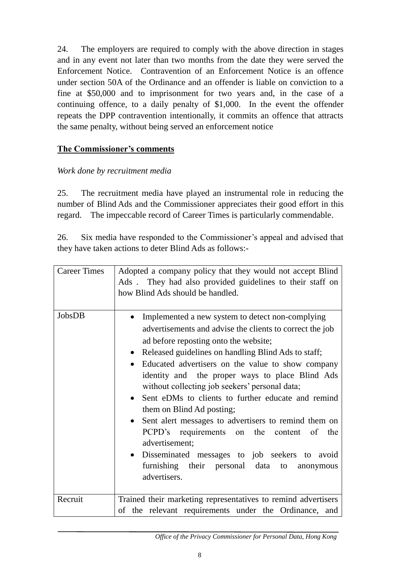24. The employers are required to comply with the above direction in stages and in any event not later than two months from the date they were served the Enforcement Notice. Contravention of an Enforcement Notice is an offence under section 50A of the Ordinance and an offender is liable on conviction to a fine at \$50,000 and to imprisonment for two years and, in the case of a continuing offence, to a daily penalty of \$1,000. In the event the offender repeats the DPP contravention intentionally, it commits an offence that attracts the same penalty, without being served an enforcement notice

## **The Commissioner's comments**

#### *Work done by recruitment media*

25. The recruitment media have played an instrumental role in reducing the number of Blind Ads and the Commissioner appreciates their good effort in this regard. The impeccable record of Career Times is particularly commendable.

26. Six media have responded to the Commissioner's appeal and advised that they have taken actions to deter Blind Ads as follows:-

| <b>Career Times</b> | Adopted a company policy that they would not accept Blind<br>Ads. They had also provided guidelines to their staff on<br>how Blind Ads should be handled.                                                                                                                                                                                                                                                                                                                                                                                                                                                                                                                                                                                                              |
|---------------------|------------------------------------------------------------------------------------------------------------------------------------------------------------------------------------------------------------------------------------------------------------------------------------------------------------------------------------------------------------------------------------------------------------------------------------------------------------------------------------------------------------------------------------------------------------------------------------------------------------------------------------------------------------------------------------------------------------------------------------------------------------------------|
| JobsDB              | Implemented a new system to detect non-complying<br>$\bullet$<br>advertisements and advise the clients to correct the job<br>ad before reposting onto the website;<br>Released guidelines on handling Blind Ads to staff;<br>$\bullet$<br>Educated advertisers on the value to show company<br>$\bullet$<br>identity and the proper ways to place Blind Ads<br>without collecting job seekers' personal data;<br>Sent eDMs to clients to further educate and remind<br>$\bullet$<br>them on Blind Ad posting;<br>Sent alert messages to advertisers to remind them on<br>$\bullet$<br>PCPD's requirements on the content of the<br>advertisement;<br>· Disseminated messages to job seekers to avoid<br>furnishing their personal data to<br>anonymous<br>advertisers. |
| Recruit             | Trained their marketing representatives to remind advertisers<br>of the relevant requirements under the Ordinance, and                                                                                                                                                                                                                                                                                                                                                                                                                                                                                                                                                                                                                                                 |

*Office of the Privacy Commissioner for Personal Data, Hong Kong*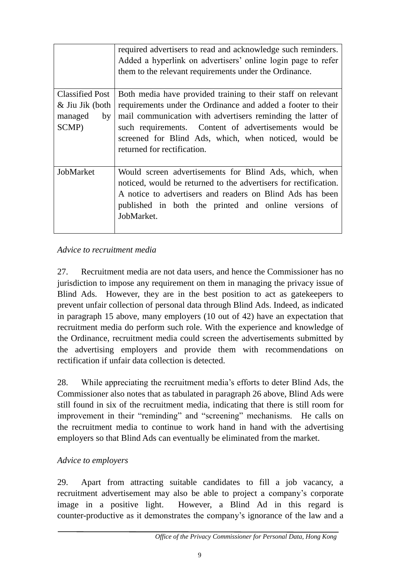|                                                                     | required advertisers to read and acknowledge such reminders.<br>Added a hyperlink on advertisers' online login page to refer<br>them to the relevant requirements under the Ordinance.                                                                                                                                                       |
|---------------------------------------------------------------------|----------------------------------------------------------------------------------------------------------------------------------------------------------------------------------------------------------------------------------------------------------------------------------------------------------------------------------------------|
| <b>Classified Post</b><br>& Jiu Jik (both<br>managed<br>by<br>SCMP) | Both media have provided training to their staff on relevant<br>requirements under the Ordinance and added a footer to their<br>mail communication with advertisers reminding the latter of<br>such requirements. Content of advertisements would be<br>screened for Blind Ads, which, when noticed, would be<br>returned for rectification. |
| JobMarket                                                           | Would screen advertisements for Blind Ads, which, when<br>noticed, would be returned to the advertisers for rectification.<br>A notice to advertisers and readers on Blind Ads has been<br>published in both the printed and online versions of<br>JobMarket.                                                                                |

# *Advice to recruitment media*

27. Recruitment media are not data users, and hence the Commissioner has no jurisdiction to impose any requirement on them in managing the privacy issue of Blind Ads. However, they are in the best position to act as gatekeepers to prevent unfair collection of personal data through Blind Ads. Indeed, as indicated in paragraph 15 above, many employers (10 out of 42) have an expectation that recruitment media do perform such role. With the experience and knowledge of the Ordinance, recruitment media could screen the advertisements submitted by the advertising employers and provide them with recommendations on rectification if unfair data collection is detected.

28. While appreciating the recruitment media's efforts to deter Blind Ads, the Commissioner also notes that as tabulated in paragraph 26 above, Blind Ads were still found in six of the recruitment media, indicating that there is still room for improvement in their "reminding" and "screening" mechanisms. He calls on the recruitment media to continue to work hand in hand with the advertising employers so that Blind Ads can eventually be eliminated from the market.

#### *Advice to employers*

29. Apart from attracting suitable candidates to fill a job vacancy, a recruitment advertisement may also be able to project a company's corporate image in a positive light. However, a Blind Ad in this regard is counter-productive as it demonstrates the company's ignorance of the law and a